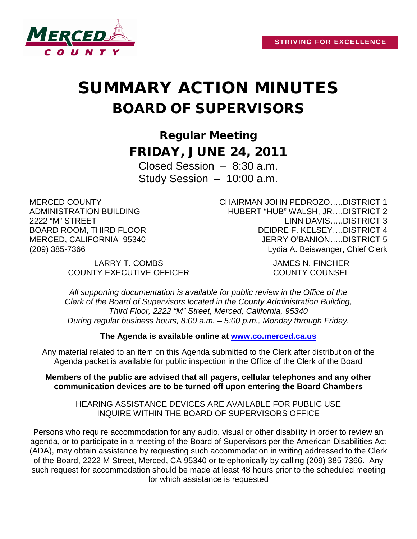

# SUMMARY ACTION MINUTES BOARD OF SUPERVISORS

Regular Meeting FRIDAY, JUNE 24, 2011

Closed Session – 8:30 a.m. Study Session – 10:00 a.m.

MERCED COUNTY ADMINISTRATION BUILDING 2222 "M" STREET BOARD ROOM, THIRD FLOOR MERCED, CALIFORNIA 95340 (209) 385-7366

CHAIRMAN JOHN PEDROZO…..DISTRICT 1 HUBERT "HUB" WALSH, JR….DISTRICT 2 LINN DAVIS…..DISTRICT 3 DEIDRE F. KELSEY….DISTRICT 4 JERRY O'BANION…..DISTRICT 5 Lydia A. Beiswanger, Chief Clerk

LARRY T. COMBS JAMES N. FINCHER COUNTY EXECUTIVE OFFICER COUNTY COUNSEL

*All supporting documentation is available for public review in the Office of the Clerk of the Board of Supervisors located in the County Administration Building, Third Floor, 2222 "M" Street, Merced, California, 95340 During regular business hours, 8:00 a.m. – 5:00 p.m., Monday through Friday.*

**The Agenda is available online at [www.co.merced.ca.us](http://www.co.merced.ca.us/)**

Any material related to an item on this Agenda submitted to the Clerk after distribution of the Agenda packet is available for public inspection in the Office of the Clerk of the Board

**Members of the public are advised that all pagers, cellular telephones and any other communication devices are to be turned off upon entering the Board Chambers**

HEARING ASSISTANCE DEVICES ARE AVAILABLE FOR PUBLIC USE INQUIRE WITHIN THE BOARD OF SUPERVISORS OFFICE

Persons who require accommodation for any audio, visual or other disability in order to review an agenda, or to participate in a meeting of the Board of Supervisors per the American Disabilities Act (ADA), may obtain assistance by requesting such accommodation in writing addressed to the Clerk of the Board, 2222 M Street, Merced, CA 95340 or telephonically by calling (209) 385-7366. Any such request for accommodation should be made at least 48 hours prior to the scheduled meeting for which assistance is requested